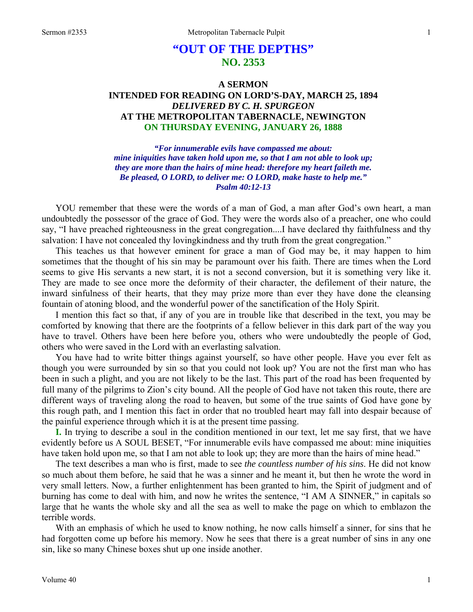# **"OUT OF THE DEPTHS" NO. 2353**

## **A SERMON INTENDED FOR READING ON LORD'S-DAY, MARCH 25, 1894**  *DELIVERED BY C. H. SPURGEON*  **AT THE METROPOLITAN TABERNACLE, NEWINGTON ON THURSDAY EVENING, JANUARY 26, 1888**

*"For innumerable evils have compassed me about: mine iniquities have taken hold upon me, so that I am not able to look up; they are more than the hairs of mine head: therefore my heart faileth me. Be pleased, O LORD, to deliver me: O LORD, make haste to help me." Psalm 40:12-13* 

YOU remember that these were the words of a man of God, a man after God's own heart, a man undoubtedly the possessor of the grace of God. They were the words also of a preacher, one who could say, "I have preached righteousness in the great congregation....I have declared thy faithfulness and thy salvation: I have not concealed thy loving kindness and thy truth from the great congregation."

This teaches us that however eminent for grace a man of God may be, it may happen to him sometimes that the thought of his sin may be paramount over his faith. There are times when the Lord seems to give His servants a new start, it is not a second conversion, but it is something very like it. They are made to see once more the deformity of their character, the defilement of their nature, the inward sinfulness of their hearts, that they may prize more than ever they have done the cleansing fountain of atoning blood, and the wonderful power of the sanctification of the Holy Spirit.

I mention this fact so that, if any of you are in trouble like that described in the text, you may be comforted by knowing that there are the footprints of a fellow believer in this dark part of the way you have to travel. Others have been here before you, others who were undoubtedly the people of God, others who were saved in the Lord with an everlasting salvation.

You have had to write bitter things against yourself, so have other people. Have you ever felt as though you were surrounded by sin so that you could not look up? You are not the first man who has been in such a plight, and you are not likely to be the last. This part of the road has been frequented by full many of the pilgrims to Zion's city bound. All the people of God have not taken this route, there are different ways of traveling along the road to heaven, but some of the true saints of God have gone by this rough path, and I mention this fact in order that no troubled heart may fall into despair because of the painful experience through which it is at the present time passing.

**I.** In trying to describe a soul in the condition mentioned in our text, let me say first, that we have evidently before us A SOUL BESET, "For innumerable evils have compassed me about: mine iniquities have taken hold upon me, so that I am not able to look up; they are more than the hairs of mine head."

The text describes a man who is first, made to see *the countless number of his sins*. He did not know so much about them before, he said that he was a sinner and he meant it, but then he wrote the word in very small letters. Now, a further enlightenment has been granted to him, the Spirit of judgment and of burning has come to deal with him, and now he writes the sentence, "I AM A SINNER," in capitals so large that he wants the whole sky and all the sea as well to make the page on which to emblazon the terrible words.

With an emphasis of which he used to know nothing, he now calls himself a sinner, for sins that he had forgotten come up before his memory. Now he sees that there is a great number of sins in any one sin, like so many Chinese boxes shut up one inside another.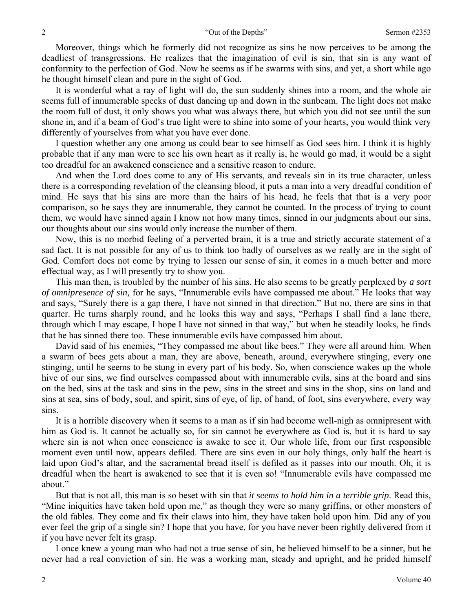Moreover, things which he formerly did not recognize as sins he now perceives to be among the deadliest of transgressions. He realizes that the imagination of evil is sin, that sin is any want of conformity to the perfection of God. Now he seems as if he swarms with sins, and yet, a short while ago he thought himself clean and pure in the sight of God.

It is wonderful what a ray of light will do, the sun suddenly shines into a room, and the whole air seems full of innumerable specks of dust dancing up and down in the sunbeam. The light does not make the room full of dust, it only shows you what was always there, but which you did not see until the sun shone in, and if a beam of God's true light were to shine into some of your hearts, you would think very differently of yourselves from what you have ever done.

I question whether any one among us could bear to see himself as God sees him. I think it is highly probable that if any man were to see his own heart as it really is, he would go mad, it would be a sight too dreadful for an awakened conscience and a sensitive reason to endure.

And when the Lord does come to any of His servants, and reveals sin in its true character, unless there is a corresponding revelation of the cleansing blood, it puts a man into a very dreadful condition of mind. He says that his sins are more than the hairs of his head, he feels that that is a very poor comparison, so he says they are innumerable, they cannot be counted. In the process of trying to count them, we would have sinned again I know not how many times, sinned in our judgments about our sins, our thoughts about our sins would only increase the number of them.

Now, this is no morbid feeling of a perverted brain, it is a true and strictly accurate statement of a sad fact. It is not possible for any of us to think too badly of ourselves as we really are in the sight of God. Comfort does not come by trying to lessen our sense of sin, it comes in a much better and more effectual way, as I will presently try to show you.

This man then, is troubled by the number of his sins. He also seems to be greatly perplexed by *a sort of omnipresence of sin,* for he says, "Innumerable evils have compassed me about." He looks that way and says, "Surely there is a gap there, I have not sinned in that direction." But no, there are sins in that quarter. He turns sharply round, and he looks this way and says, "Perhaps I shall find a lane there, through which I may escape, I hope I have not sinned in that way," but when he steadily looks, he finds that he has sinned there too. These innumerable evils have compassed him about.

David said of his enemies, "They compassed me about like bees." They were all around him. When a swarm of bees gets about a man, they are above, beneath, around, everywhere stinging, every one stinging, until he seems to be stung in every part of his body. So, when conscience wakes up the whole hive of our sins, we find ourselves compassed about with innumerable evils, sins at the board and sins on the bed, sins at the task and sins in the pew, sins in the street and sins in the shop, sins on land and sins at sea, sins of body, soul, and spirit, sins of eye, of lip, of hand, of foot, sins everywhere, every way sins.

It is a horrible discovery when it seems to a man as if sin had become well-nigh as omnipresent with him as God is. It cannot be actually so, for sin cannot be everywhere as God is, but it is hard to say where sin is not when once conscience is awake to see it. Our whole life, from our first responsible moment even until now, appears defiled. There are sins even in our holy things, only half the heart is laid upon God's altar, and the sacramental bread itself is defiled as it passes into our mouth. Oh, it is dreadful when the heart is awakened to see that it is even so! "Innumerable evils have compassed me about."

But that is not all, this man is so beset with sin that *it seems to hold him in a terrible grip*. Read this, "Mine iniquities have taken hold upon me," as though they were so many griffins, or other monsters of the old fables. They come and fix their claws into him, they have taken hold upon him. Did any of you ever feel the grip of a single sin? I hope that you have, for you have never been rightly delivered from it if you have never felt its grasp.

I once knew a young man who had not a true sense of sin, he believed himself to be a sinner, but he never had a real conviction of sin. He was a working man, steady and upright, and he prided himself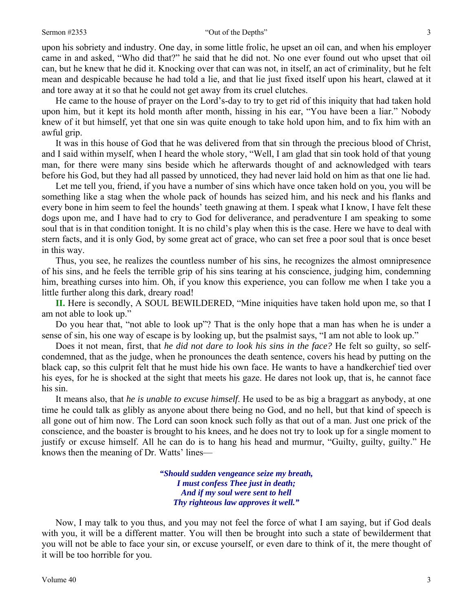upon his sobriety and industry. One day, in some little frolic, he upset an oil can, and when his employer came in and asked, "Who did that?" he said that he did not. No one ever found out who upset that oil can, but he knew that he did it. Knocking over that can was not, in itself, an act of criminality, but he felt mean and despicable because he had told a lie, and that lie just fixed itself upon his heart, clawed at it and tore away at it so that he could not get away from its cruel clutches.

He came to the house of prayer on the Lord's-day to try to get rid of this iniquity that had taken hold upon him, but it kept its hold month after month, hissing in his ear, "You have been a liar." Nobody knew of it but himself, yet that one sin was quite enough to take hold upon him, and to fix him with an awful grip.

It was in this house of God that he was delivered from that sin through the precious blood of Christ, and I said within myself, when I heard the whole story, "Well, I am glad that sin took hold of that young man, for there were many sins beside which he afterwards thought of and acknowledged with tears before his God, but they had all passed by unnoticed, they had never laid hold on him as that one lie had.

Let me tell you, friend, if you have a number of sins which have once taken hold on you, you will be something like a stag when the whole pack of hounds has seized him, and his neck and his flanks and every bone in him seem to feel the hounds' teeth gnawing at them. I speak what I know, I have felt these dogs upon me, and I have had to cry to God for deliverance, and peradventure I am speaking to some soul that is in that condition tonight. It is no child's play when this is the case. Here we have to deal with stern facts, and it is only God, by some great act of grace, who can set free a poor soul that is once beset in this way.

Thus, you see, he realizes the countless number of his sins, he recognizes the almost omnipresence of his sins, and he feels the terrible grip of his sins tearing at his conscience, judging him, condemning him, breathing curses into him. Oh, if you know this experience, you can follow me when I take you a little further along this dark, dreary road!

**II.** Here is secondly, A SOUL BEWILDERED, "Mine iniquities have taken hold upon me, so that I am not able to look up."

Do you hear that, "not able to look up"? That is the only hope that a man has when he is under a sense of sin, his one way of escape is by looking up, but the psalmist says, "I am not able to look up."

Does it not mean, first, that *he did not dare to look his sins in the face?* He felt so guilty, so selfcondemned, that as the judge, when he pronounces the death sentence, covers his head by putting on the black cap, so this culprit felt that he must hide his own face. He wants to have a handkerchief tied over his eyes, for he is shocked at the sight that meets his gaze. He dares not look up, that is, he cannot face his sin.

It means also, that *he is unable to excuse himself*. He used to be as big a braggart as anybody, at one time he could talk as glibly as anyone about there being no God, and no hell, but that kind of speech is all gone out of him now. The Lord can soon knock such folly as that out of a man. Just one prick of the conscience, and the boaster is brought to his knees, and he does not try to look up for a single moment to justify or excuse himself. All he can do is to hang his head and murmur, "Guilty, guilty, guilty." He knows then the meaning of Dr. Watts' lines—

> *"Should sudden vengeance seize my breath, I must confess Thee just in death; And if my soul were sent to hell Thy righteous law approves it well."*

Now, I may talk to you thus, and you may not feel the force of what I am saying, but if God deals with you, it will be a different matter. You will then be brought into such a state of bewilderment that you will not be able to face your sin, or excuse yourself, or even dare to think of it, the mere thought of it will be too horrible for you.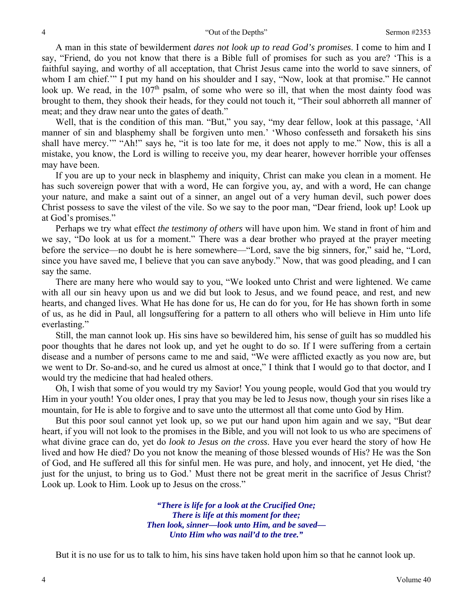A man in this state of bewilderment *dares not look up to read God's promises*. I come to him and I say, "Friend, do you not know that there is a Bible full of promises for such as you are? 'This is a faithful saying, and worthy of all acceptation, that Christ Jesus came into the world to save sinners, of whom I am chief."" I put my hand on his shoulder and I say, "Now, look at that promise." He cannot look up. We read, in the  $107<sup>th</sup>$  psalm, of some who were so ill, that when the most dainty food was brought to them, they shook their heads, for they could not touch it, "Their soul abhorreth all manner of meat; and they draw near unto the gates of death."

Well, that is the condition of this man. "But," you say, "my dear fellow, look at this passage, 'All manner of sin and blasphemy shall be forgiven unto men.' 'Whoso confesseth and forsaketh his sins shall have mercy.'" "Ah!" says he, "it is too late for me, it does not apply to me." Now, this is all a mistake, you know, the Lord is willing to receive you, my dear hearer, however horrible your offenses may have been.

If you are up to your neck in blasphemy and iniquity, Christ can make you clean in a moment. He has such sovereign power that with a word, He can forgive you, ay, and with a word, He can change your nature, and make a saint out of a sinner, an angel out of a very human devil, such power does Christ possess to save the vilest of the vile. So we say to the poor man, "Dear friend, look up! Look up at God's promises."

Perhaps we try what effect *the testimony of others* will have upon him. We stand in front of him and we say, "Do look at us for a moment." There was a dear brother who prayed at the prayer meeting before the service—no doubt he is here somewhere—"Lord, save the big sinners, for," said he, "Lord, since you have saved me, I believe that you can save anybody." Now, that was good pleading, and I can say the same.

There are many here who would say to you, "We looked unto Christ and were lightened. We came with all our sin heavy upon us and we did but look to Jesus, and we found peace, and rest, and new hearts, and changed lives. What He has done for us, He can do for you, for He has shown forth in some of us, as he did in Paul, all longsuffering for a pattern to all others who will believe in Him unto life everlasting."

Still, the man cannot look up. His sins have so bewildered him, his sense of guilt has so muddled his poor thoughts that he dares not look up, and yet he ought to do so. If I were suffering from a certain disease and a number of persons came to me and said, "We were afflicted exactly as you now are, but we went to Dr. So-and-so, and he cured us almost at once," I think that I would go to that doctor, and I would try the medicine that had healed others.

Oh, I wish that some of you would try my Savior! You young people, would God that you would try Him in your youth! You older ones, I pray that you may be led to Jesus now, though your sin rises like a mountain, for He is able to forgive and to save unto the uttermost all that come unto God by Him.

But this poor soul cannot yet look up, so we put our hand upon him again and we say, "But dear heart, if you will not look to the promises in the Bible, and you will not look to us who are specimens of what divine grace can do, yet do *look to Jesus on the cross*. Have you ever heard the story of how He lived and how He died? Do you not know the meaning of those blessed wounds of His? He was the Son of God, and He suffered all this for sinful men. He was pure, and holy, and innocent, yet He died, 'the just for the unjust, to bring us to God.' Must there not be great merit in the sacrifice of Jesus Christ? Look up. Look to Him. Look up to Jesus on the cross."

> *"There is life for a look at the Crucified One; There is life at this moment for thee; Then look, sinner—look unto Him, and be saved— Unto Him who was nail'd to the tree."*

But it is no use for us to talk to him, his sins have taken hold upon him so that he cannot look up.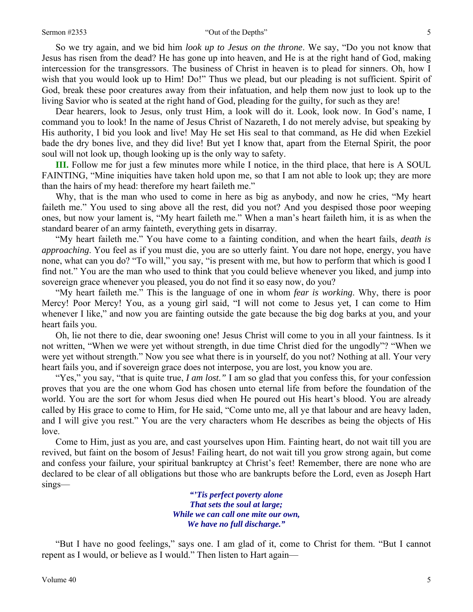#### Sermon #2353 "Out of the Depths" 5

So we try again, and we bid him *look up to Jesus on the throne*. We say, "Do you not know that Jesus has risen from the dead? He has gone up into heaven, and He is at the right hand of God, making intercession for the transgressors. The business of Christ in heaven is to plead for sinners. Oh, how I wish that you would look up to Him! Do!" Thus we plead, but our pleading is not sufficient. Spirit of God, break these poor creatures away from their infatuation, and help them now just to look up to the living Savior who is seated at the right hand of God, pleading for the guilty, for such as they are!

Dear hearers, look to Jesus, only trust Him, a look will do it. Look, look now. In God's name, I command you to look! In the name of Jesus Christ of Nazareth, I do not merely advise, but speaking by His authority, I bid you look and live! May He set His seal to that command, as He did when Ezekiel bade the dry bones live, and they did live! But yet I know that, apart from the Eternal Spirit, the poor soul will not look up, though looking up is the only way to safety.

**III.** Follow me for just a few minutes more while I notice, in the third place, that here is A SOUL FAINTING, "Mine iniquities have taken hold upon me, so that I am not able to look up; they are more than the hairs of my head: therefore my heart faileth me."

Why, that is the man who used to come in here as big as anybody, and now he cries, "My heart faileth me." You used to sing above all the rest, did you not? And you despised those poor weeping ones, but now your lament is, "My heart faileth me." When a man's heart faileth him, it is as when the standard bearer of an army fainteth, everything gets in disarray.

"My heart faileth me." You have come to a fainting condition, and when the heart fails, *death is approaching*. You feel as if you must die, you are so utterly faint. You dare not hope, energy, you have none, what can you do? "To will," you say, "is present with me, but how to perform that which is good I find not." You are the man who used to think that you could believe whenever you liked, and jump into sovereign grace whenever you pleased, you do not find it so easy now, do you?

"My heart faileth me." This is the language of one in whom *fear is working*. Why, there is poor Mercy! Poor Mercy! You, as a young girl said, "I will not come to Jesus yet, I can come to Him whenever I like," and now you are fainting outside the gate because the big dog barks at you, and your heart fails you.

Oh, lie not there to die, dear swooning one! Jesus Christ will come to you in all your faintness. Is it not written, "When we were yet without strength, in due time Christ died for the ungodly"? "When we were yet without strength." Now you see what there is in yourself, do you not? Nothing at all. Your very heart fails you, and if sovereign grace does not interpose, you are lost, you know you are.

"Yes," you say, "that is quite true, *I am lost*." I am so glad that you confess this, for your confession proves that you are the one whom God has chosen unto eternal life from before the foundation of the world. You are the sort for whom Jesus died when He poured out His heart's blood. You are already called by His grace to come to Him, for He said, "Come unto me, all ye that labour and are heavy laden, and I will give you rest." You are the very characters whom He describes as being the objects of His love.

Come to Him, just as you are, and cast yourselves upon Him. Fainting heart, do not wait till you are revived, but faint on the bosom of Jesus! Failing heart, do not wait till you grow strong again, but come and confess your failure, your spiritual bankruptcy at Christ's feet! Remember, there are none who are declared to be clear of all obligations but those who are bankrupts before the Lord, even as Joseph Hart sings—

> *"'Tis perfect poverty alone That sets the soul at large; While we can call one mite our own, We have no full discharge."*

"But I have no good feelings," says one. I am glad of it, come to Christ for them. "But I cannot repent as I would, or believe as I would." Then listen to Hart again—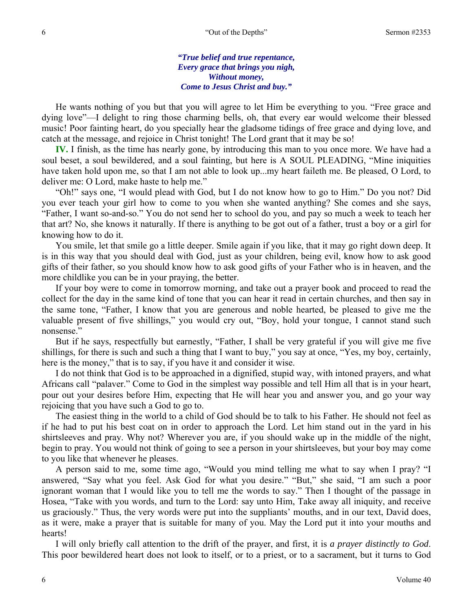*"True belief and true repentance, Every grace that brings you nigh, Without money, Come to Jesus Christ and buy."* 

He wants nothing of you but that you will agree to let Him be everything to you. "Free grace and dying love"—I delight to ring those charming bells, oh, that every ear would welcome their blessed music! Poor fainting heart, do you specially hear the gladsome tidings of free grace and dying love, and catch at the message, and rejoice in Christ tonight! The Lord grant that it may be so!

**IV.** I finish, as the time has nearly gone, by introducing this man to you once more. We have had a soul beset, a soul bewildered, and a soul fainting, but here is A SOUL PLEADING, "Mine iniquities have taken hold upon me, so that I am not able to look up...my heart faileth me. Be pleased, O Lord, to deliver me: O Lord, make haste to help me."

"Oh!" says one, "I would plead with God, but I do not know how to go to Him." Do you not? Did you ever teach your girl how to come to you when she wanted anything? She comes and she says, "Father, I want so-and-so." You do not send her to school do you, and pay so much a week to teach her that art? No, she knows it naturally. If there is anything to be got out of a father, trust a boy or a girl for knowing how to do it.

You smile, let that smile go a little deeper. Smile again if you like, that it may go right down deep. It is in this way that you should deal with God, just as your children, being evil, know how to ask good gifts of their father, so you should know how to ask good gifts of your Father who is in heaven, and the more childlike you can be in your praying, the better.

If your boy were to come in tomorrow morning, and take out a prayer book and proceed to read the collect for the day in the same kind of tone that you can hear it read in certain churches, and then say in the same tone, "Father, I know that you are generous and noble hearted, be pleased to give me the valuable present of five shillings," you would cry out, "Boy, hold your tongue, I cannot stand such nonsense."

But if he says, respectfully but earnestly, "Father, I shall be very grateful if you will give me five shillings, for there is such and such a thing that I want to buy," you say at once, "Yes, my boy, certainly, here is the money," that is to say, if you have it and consider it wise.

I do not think that God is to be approached in a dignified, stupid way, with intoned prayers, and what Africans call "palaver." Come to God in the simplest way possible and tell Him all that is in your heart, pour out your desires before Him, expecting that He will hear you and answer you, and go your way rejoicing that you have such a God to go to.

The easiest thing in the world to a child of God should be to talk to his Father. He should not feel as if he had to put his best coat on in order to approach the Lord. Let him stand out in the yard in his shirtsleeves and pray. Why not? Wherever you are, if you should wake up in the middle of the night, begin to pray. You would not think of going to see a person in your shirtsleeves, but your boy may come to you like that whenever he pleases.

A person said to me, some time ago, "Would you mind telling me what to say when I pray? "I answered, "Say what you feel. Ask God for what you desire." "But," she said, "I am such a poor ignorant woman that I would like you to tell me the words to say." Then I thought of the passage in Hosea, "Take with you words, and turn to the Lord: say unto Him, Take away all iniquity, and receive us graciously." Thus, the very words were put into the suppliants' mouths, and in our text, David does, as it were, make a prayer that is suitable for many of you. May the Lord put it into your mouths and hearts!

I will only briefly call attention to the drift of the prayer, and first, it is *a prayer distinctly to God*. This poor bewildered heart does not look to itself, or to a priest, or to a sacrament, but it turns to God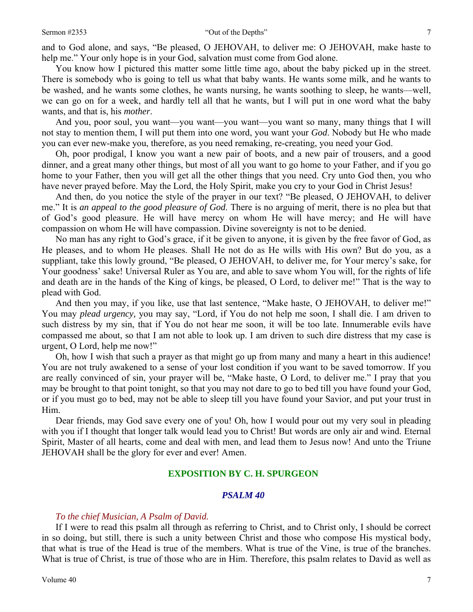and to God alone, and says, "Be pleased, O JEHOVAH, to deliver me: O JEHOVAH, make haste to help me." Your only hope is in your God, salvation must come from God alone.

You know how I pictured this matter some little time ago, about the baby picked up in the street. There is somebody who is going to tell us what that baby wants. He wants some milk, and he wants to be washed, and he wants some clothes, he wants nursing, he wants soothing to sleep, he wants—well, we can go on for a week, and hardly tell all that he wants, but I will put in one word what the baby wants, and that is, his *mother*.

And you, poor soul, you want—you want—you want—you want so many, many things that I will not stay to mention them, I will put them into one word, you want your *God*. Nobody but He who made you can ever new-make you, therefore, as you need remaking, re-creating, you need your God.

Oh, poor prodigal, I know you want a new pair of boots, and a new pair of trousers, and a good dinner, and a great many other things, but most of all you want to go home to your Father, and if you go home to your Father, then you will get all the other things that you need. Cry unto God then, you who have never prayed before. May the Lord, the Holy Spirit, make you cry to your God in Christ Jesus!

And then, do you notice the style of the prayer in our text? "Be pleased, O JEHOVAH, to deliver me." It is *an appeal to the good pleasure of God*. There is no arguing of merit, there is no plea but that of God's good pleasure. He will have mercy on whom He will have mercy; and He will have compassion on whom He will have compassion. Divine sovereignty is not to be denied.

No man has any right to God's grace, if it be given to anyone, it is given by the free favor of God, as He pleases, and to whom He pleases. Shall He not do as He wills with His own? But do you, as a suppliant, take this lowly ground, "Be pleased, O JEHOVAH, to deliver me, for Your mercy's sake, for Your goodness' sake! Universal Ruler as You are, and able to save whom You will, for the rights of life and death are in the hands of the King of kings, be pleased, O Lord, to deliver me!" That is the way to plead with God.

And then you may, if you like, use that last sentence, "Make haste, O JEHOVAH, to deliver me!" You may *plead urgency,* you may say, "Lord, if You do not help me soon, I shall die. I am driven to such distress by my sin, that if You do not hear me soon, it will be too late. Innumerable evils have compassed me about, so that I am not able to look up. I am driven to such dire distress that my case is urgent, O Lord, help me now!"

Oh, how I wish that such a prayer as that might go up from many and many a heart in this audience! You are not truly awakened to a sense of your lost condition if you want to be saved tomorrow. If you are really convinced of sin, your prayer will be, "Make haste, O Lord, to deliver me." I pray that you may be brought to that point tonight, so that you may not dare to go to bed till you have found your God, or if you must go to bed, may not be able to sleep till you have found your Savior, and put your trust in Him.

Dear friends, may God save every one of you! Oh, how I would pour out my very soul in pleading with you if I thought that longer talk would lead you to Christ! But words are only air and wind. Eternal Spirit, Master of all hearts, come and deal with men, and lead them to Jesus now! And unto the Triune JEHOVAH shall be the glory for ever and ever! Amen.

### **EXPOSITION BY C. H. SPURGEON**

#### *PSALM 40*

#### *To the chief Musician, A Psalm of David.*

If I were to read this psalm all through as referring to Christ, and to Christ only, I should be correct in so doing, but still, there is such a unity between Christ and those who compose His mystical body, that what is true of the Head is true of the members. What is true of the Vine, is true of the branches. What is true of Christ, is true of those who are in Him. Therefore, this psalm relates to David as well as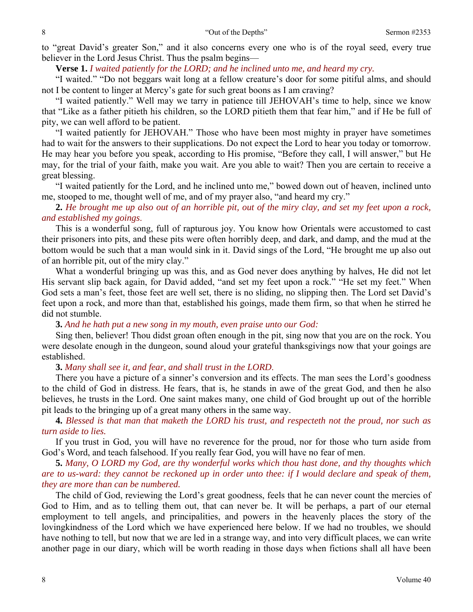to "great David's greater Son," and it also concerns every one who is of the royal seed, every true believer in the Lord Jesus Christ. Thus the psalm begins—

**Verse 1.** *I waited patiently for the LORD; and he inclined unto me, and heard my cry.* 

"I waited." "Do not beggars wait long at a fellow creature's door for some pitiful alms, and should not I be content to linger at Mercy's gate for such great boons as I am craving?

"I waited patiently." Well may we tarry in patience till JEHOVAH's time to help, since we know that "Like as a father pitieth his children, so the LORD pitieth them that fear him," and if He be full of pity, we can well afford to be patient.

"I waited patiently for JEHOVAH." Those who have been most mighty in prayer have sometimes had to wait for the answers to their supplications. Do not expect the Lord to hear you today or tomorrow. He may hear you before you speak, according to His promise, "Before they call, I will answer," but He may, for the trial of your faith, make you wait. Are you able to wait? Then you are certain to receive a great blessing.

"I waited patiently for the Lord, and he inclined unto me," bowed down out of heaven, inclined unto me, stooped to me, thought well of me, and of my prayer also, "and heard my cry."

**2.** *He brought me up also out of an horrible pit, out of the miry clay, and set my feet upon a rock, and established my goings*.

This is a wonderful song, full of rapturous joy. You know how Orientals were accustomed to cast their prisoners into pits, and these pits were often horribly deep, and dark, and damp, and the mud at the bottom would be such that a man would sink in it. David sings of the Lord, "He brought me up also out of an horrible pit, out of the miry clay."

What a wonderful bringing up was this, and as God never does anything by halves, He did not let His servant slip back again, for David added, "and set my feet upon a rock." "He set my feet." When God sets a man's feet, those feet are well set, there is no sliding, no slipping then. The Lord set David's feet upon a rock, and more than that, established his goings, made them firm, so that when he stirred he did not stumble.

**3.** *And he hath put a new song in my mouth, even praise unto our God:* 

Sing then, believer! Thou didst groan often enough in the pit, sing now that you are on the rock. You were desolate enough in the dungeon, sound aloud your grateful thanksgivings now that your goings are established.

**3.** *Many shall see it, and fear, and shall trust in the LORD*.

There you have a picture of a sinner's conversion and its effects. The man sees the Lord's goodness to the child of God in distress. He fears, that is, he stands in awe of the great God, and then he also believes, he trusts in the Lord. One saint makes many, one child of God brought up out of the horrible pit leads to the bringing up of a great many others in the same way.

**4.** *Blessed is that man that maketh the LORD his trust, and respecteth not the proud, nor such as turn aside to lies.* 

If you trust in God, you will have no reverence for the proud, nor for those who turn aside from God's Word, and teach falsehood. If you really fear God, you will have no fear of men.

**5.** *Many, O LORD my God, are thy wonderful works which thou hast done, and thy thoughts which are to us-ward: they cannot be reckoned up in order unto thee: if I would declare and speak of them, they are more than can be numbered.* 

The child of God, reviewing the Lord's great goodness, feels that he can never count the mercies of God to Him, and as to telling them out, that can never be. It will be perhaps, a part of our eternal employment to tell angels, and principalities, and powers in the heavenly places the story of the lovingkindness of the Lord which we have experienced here below. If we had no troubles, we should have nothing to tell, but now that we are led in a strange way, and into very difficult places, we can write another page in our diary, which will be worth reading in those days when fictions shall all have been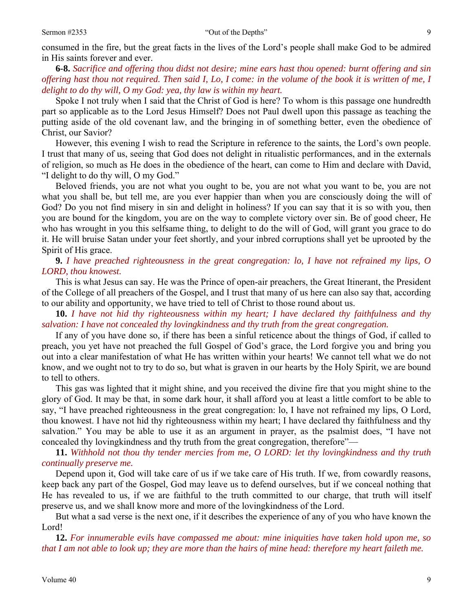consumed in the fire, but the great facts in the lives of the Lord's people shall make God to be admired in His saints forever and ever.

**6-8.** *Sacrifice and offering thou didst not desire; mine ears hast thou opened: burnt offering and sin offering hast thou not required. Then said I, Lo, I come: in the volume of the book it is written of me, I delight to do thy will, O my God: yea, thy law is within my heart.* 

Spoke I not truly when I said that the Christ of God is here? To whom is this passage one hundredth part so applicable as to the Lord Jesus Himself? Does not Paul dwell upon this passage as teaching the putting aside of the old covenant law, and the bringing in of something better, even the obedience of Christ, our Savior?

However, this evening I wish to read the Scripture in reference to the saints, the Lord's own people. I trust that many of us, seeing that God does not delight in ritualistic performances, and in the externals of religion, so much as He does in the obedience of the heart, can come to Him and declare with David, "I delight to do thy will, O my God."

Beloved friends, you are not what you ought to be, you are not what you want to be, you are not what you shall be, but tell me, are you ever happier than when you are consciously doing the will of God? Do you not find misery in sin and delight in holiness? If you can say that it is so with you, then you are bound for the kingdom, you are on the way to complete victory over sin. Be of good cheer, He who has wrought in you this selfsame thing, to delight to do the will of God, will grant you grace to do it. He will bruise Satan under your feet shortly, and your inbred corruptions shall yet be uprooted by the Spirit of His grace.

**9.** *I have preached righteousness in the great congregation: lo, I have not refrained my lips, O LORD, thou knowest.* 

This is what Jesus can say. He was the Prince of open-air preachers, the Great Itinerant, the President of the College of all preachers of the Gospel, and I trust that many of us here can also say that, according to our ability and opportunity, we have tried to tell of Christ to those round about us.

**10.** *I have not hid thy righteousness within my heart; I have declared thy faithfulness and thy salvation: I have not concealed thy lovingkindness and thy truth from the great congregation.* 

If any of you have done so, if there has been a sinful reticence about the things of God, if called to preach, you yet have not preached the full Gospel of God's grace, the Lord forgive you and bring you out into a clear manifestation of what He has written within your hearts! We cannot tell what we do not know, and we ought not to try to do so, but what is graven in our hearts by the Holy Spirit, we are bound to tell to others.

This gas was lighted that it might shine, and you received the divine fire that you might shine to the glory of God. It may be that, in some dark hour, it shall afford you at least a little comfort to be able to say, "I have preached righteousness in the great congregation: lo, I have not refrained my lips, O Lord, thou knowest. I have not hid thy righteousness within my heart; I have declared thy faithfulness and thy salvation." You may be able to use it as an argument in prayer, as the psalmist does, "I have not concealed thy lovingkindness and thy truth from the great congregation, therefore"—

#### **11.** *Withhold not thou thy tender mercies from me, O LORD: let thy lovingkindness and thy truth continually preserve me.*

Depend upon it, God will take care of us if we take care of His truth. If we, from cowardly reasons, keep back any part of the Gospel, God may leave us to defend ourselves, but if we conceal nothing that He has revealed to us, if we are faithful to the truth committed to our charge, that truth will itself preserve us, and we shall know more and more of the lovingkindness of the Lord.

But what a sad verse is the next one, if it describes the experience of any of you who have known the Lord!

**12.** *For innumerable evils have compassed me about: mine iniquities have taken hold upon me, so that I am not able to look up; they are more than the hairs of mine head: therefore my heart faileth me.*